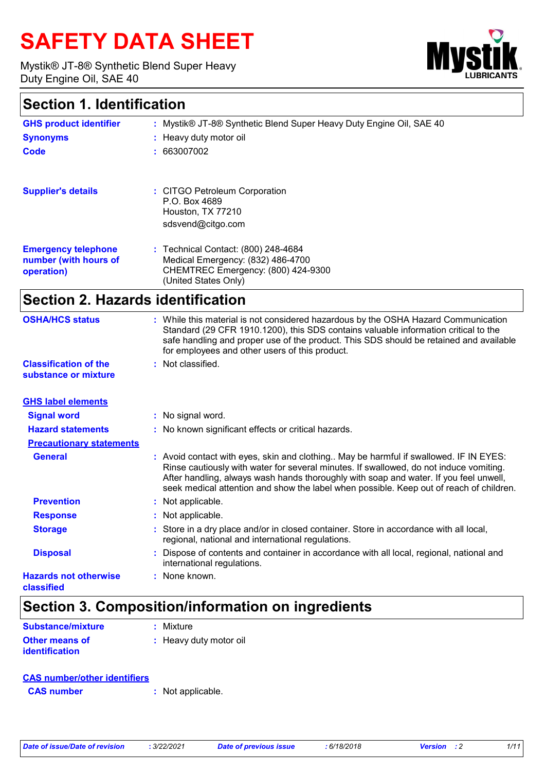# **SAFETY DATA SHEET**

Mystik® JT-8® Synthetic Blend Super Heavy Duty Engine Oil, SAE 40



### **Section 1. Identification**

| <b>GHS product identifier</b>                                     | : Mystik® JT-8® Synthetic Blend Super Heavy Duty Engine Oil, SAE 40                                                                    |
|-------------------------------------------------------------------|----------------------------------------------------------------------------------------------------------------------------------------|
| <b>Synonyms</b>                                                   | : Heavy duty motor oil                                                                                                                 |
| Code                                                              | : 663007002                                                                                                                            |
|                                                                   |                                                                                                                                        |
| <b>Supplier's details</b>                                         | : CITGO Petroleum Corporation<br>P.O. Box 4689<br>Houston, TX 77210<br>sdsvend@citgo.com                                               |
| <b>Emergency telephone</b><br>number (with hours of<br>operation) | : Technical Contact: (800) 248-4684<br>Medical Emergency: (832) 486-4700<br>CHEMTREC Emergency: (800) 424-9300<br>(United States Only) |

### **Section 2. Hazards identification**

| <b>OSHA/HCS status</b>                               | : While this material is not considered hazardous by the OSHA Hazard Communication<br>Standard (29 CFR 1910.1200), this SDS contains valuable information critical to the<br>safe handling and proper use of the product. This SDS should be retained and available<br>for employees and other users of this product.                                               |
|------------------------------------------------------|---------------------------------------------------------------------------------------------------------------------------------------------------------------------------------------------------------------------------------------------------------------------------------------------------------------------------------------------------------------------|
| <b>Classification of the</b><br>substance or mixture | : Not classified.                                                                                                                                                                                                                                                                                                                                                   |
| <b>GHS label elements</b>                            |                                                                                                                                                                                                                                                                                                                                                                     |
| <b>Signal word</b>                                   | : No signal word.                                                                                                                                                                                                                                                                                                                                                   |
| <b>Hazard statements</b>                             | : No known significant effects or critical hazards.                                                                                                                                                                                                                                                                                                                 |
| <b>Precautionary statements</b>                      |                                                                                                                                                                                                                                                                                                                                                                     |
| <b>General</b>                                       | : Avoid contact with eyes, skin and clothing May be harmful if swallowed. IF IN EYES:<br>Rinse cautiously with water for several minutes. If swallowed, do not induce vomiting.<br>After handling, always wash hands thoroughly with soap and water. If you feel unwell,<br>seek medical attention and show the label when possible. Keep out of reach of children. |
| <b>Prevention</b>                                    | : Not applicable.                                                                                                                                                                                                                                                                                                                                                   |
| <b>Response</b>                                      | : Not applicable.                                                                                                                                                                                                                                                                                                                                                   |
| <b>Storage</b>                                       | : Store in a dry place and/or in closed container. Store in accordance with all local,<br>regional, national and international regulations.                                                                                                                                                                                                                         |
| <b>Disposal</b>                                      | Dispose of contents and container in accordance with all local, regional, national and<br>international regulations.                                                                                                                                                                                                                                                |
| <b>Hazards not otherwise</b><br>classified           | : None known.                                                                                                                                                                                                                                                                                                                                                       |

## **Section 3. Composition/information on ingredients**

| <b>Substance/mixture</b>                | : Mixture              |
|-----------------------------------------|------------------------|
| <b>Other means of</b><br>identification | : Heavy duty motor oil |

### **CAS number/other identifiers**

**CAS number :** Not applicable.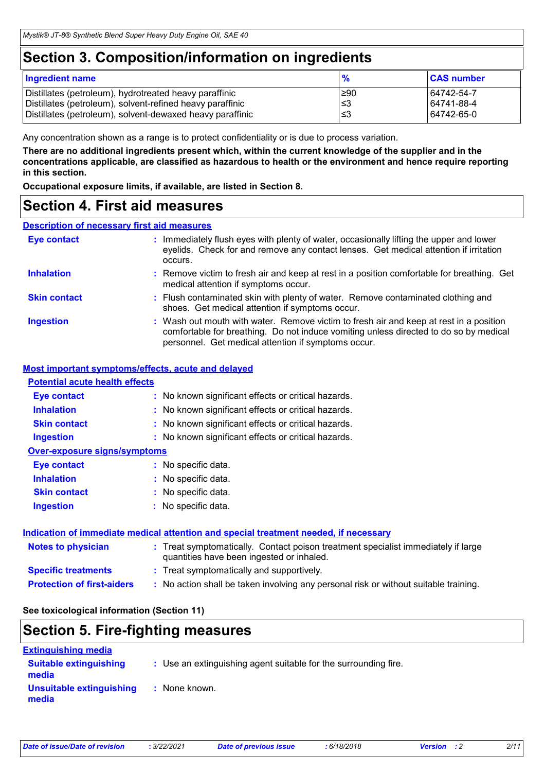### **Section 3. Composition/information on ingredients**

| <b>Ingredient name</b>                                    | $\frac{9}{6}$ | <b>CAS number</b> |
|-----------------------------------------------------------|---------------|-------------------|
| Distillates (petroleum), hydrotreated heavy paraffinic    | l≥90          | 64742-54-7        |
| Distillates (petroleum), solvent-refined heavy paraffinic | l≤3           | 64741-88-4        |
| Distillates (petroleum), solvent-dewaxed heavy paraffinic | צ≥            | 64742-65-0        |

Any concentration shown as a range is to protect confidentiality or is due to process variation.

**There are no additional ingredients present which, within the current knowledge of the supplier and in the concentrations applicable, are classified as hazardous to health or the environment and hence require reporting in this section.**

**Occupational exposure limits, if available, are listed in Section 8.**

### **Section 4. First aid measures**

#### **Description of necessary first aid measures**

| <b>Eye contact</b>  | : Immediately flush eyes with plenty of water, occasionally lifting the upper and lower<br>eyelids. Check for and remove any contact lenses. Get medical attention if irritation<br>occurs.                                            |
|---------------------|----------------------------------------------------------------------------------------------------------------------------------------------------------------------------------------------------------------------------------------|
| <b>Inhalation</b>   | : Remove victim to fresh air and keep at rest in a position comfortable for breathing. Get<br>medical attention if symptoms occur.                                                                                                     |
| <b>Skin contact</b> | : Flush contaminated skin with plenty of water. Remove contaminated clothing and<br>shoes. Get medical attention if symptoms occur.                                                                                                    |
| <b>Ingestion</b>    | : Wash out mouth with water. Remove victim to fresh air and keep at rest in a position<br>comfortable for breathing. Do not induce vomiting unless directed to do so by medical<br>personnel. Get medical attention if symptoms occur. |

#### **Most important symptoms/effects, acute and delayed**

#### **Potential acute health effects**

| <b>Eye contact</b>           | : No known significant effects or critical hazards. |
|------------------------------|-----------------------------------------------------|
| <b>Inhalation</b>            | : No known significant effects or critical hazards. |
| <b>Skin contact</b>          | : No known significant effects or critical hazards. |
| <b>Ingestion</b>             | : No known significant effects or critical hazards. |
| Over-exposure signs/symptoms |                                                     |
| <b>Eye contact</b>           | : No specific data.                                 |
| <b>Inhalation</b>            | : No specific data.                                 |
| <b>Skin contact</b>          | : No specific data.                                 |
| <b>Ingestion</b>             | No specific data.                                   |

#### **Indication of immediate medical attention and special treatment needed, if necessary**

| <b>Notes to physician</b>         | : Treat symptomatically. Contact poison treatment specialist immediately if large<br>quantities have been ingested or inhaled. |
|-----------------------------------|--------------------------------------------------------------------------------------------------------------------------------|
| <b>Specific treatments</b>        | : Treat symptomatically and supportively.                                                                                      |
| <b>Protection of first-aiders</b> | : No action shall be taken involving any personal risk or without suitable training.                                           |

#### **See toxicological information (Section 11)**

### **Section 5. Fire-fighting measures**

| <b>Extinguishing media</b>             |                                                                 |
|----------------------------------------|-----------------------------------------------------------------|
| <b>Suitable extinguishing</b><br>media | : Use an extinguishing agent suitable for the surrounding fire. |
| Unsuitable extinguishing<br>media      | : None known.                                                   |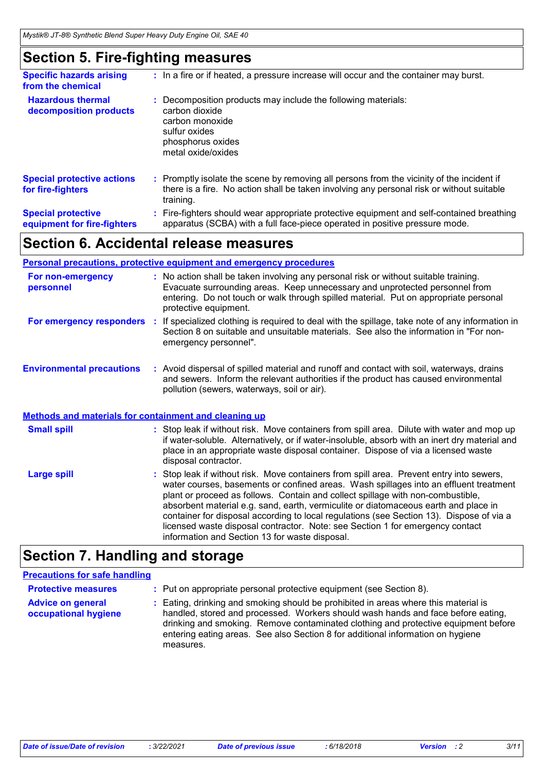### **Section 5. Fire-fighting measures**

| <b>Specific hazards arising</b><br>from the chemical     | : In a fire or if heated, a pressure increase will occur and the container may burst.                                                                                                               |
|----------------------------------------------------------|-----------------------------------------------------------------------------------------------------------------------------------------------------------------------------------------------------|
| <b>Hazardous thermal</b><br>decomposition products       | Decomposition products may include the following materials:<br>carbon dioxide<br>carbon monoxide<br>sulfur oxides<br>phosphorus oxides<br>metal oxide/oxides                                        |
| <b>Special protective actions</b><br>for fire-fighters   | : Promptly isolate the scene by removing all persons from the vicinity of the incident if<br>there is a fire. No action shall be taken involving any personal risk or without suitable<br>training. |
| <b>Special protective</b><br>equipment for fire-fighters | : Fire-fighters should wear appropriate protective equipment and self-contained breathing<br>apparatus (SCBA) with a full face-piece operated in positive pressure mode.                            |

### **Section 6. Accidental release measures**

#### **Environmental precautions Personal precautions, protective equipment and emergency procedures :** Avoid dispersal of spilled material and runoff and contact with soil, waterways, drains **:** No action shall be taken involving any personal risk or without suitable training. Evacuate surrounding areas. Keep unnecessary and unprotected personnel from entering. Do not touch or walk through spilled material. Put on appropriate personal protective equipment. and sewers. Inform the relevant authorities if the product has caused environmental pollution (sewers, waterways, soil or air). Stop leak if without risk. Move containers from spill area. Dilute with water and mop up if water-soluble. Alternatively, or if water-insoluble, absorb with an inert dry material and place in an appropriate waste disposal container. Dispose of via a licensed waste **Small spill : Methods and materials for containment and cleaning up For non-emergency personnel For emergency responders :** If specialized clothing is required to deal with the spillage, take note of any information in Section 8 on suitable and unsuitable materials. See also the information in "For nonemergency personnel".

|             | disposal contractor.                                                                                                                                                                                                                                                                                                                                                                                                                                                                                                                                                                       |
|-------------|--------------------------------------------------------------------------------------------------------------------------------------------------------------------------------------------------------------------------------------------------------------------------------------------------------------------------------------------------------------------------------------------------------------------------------------------------------------------------------------------------------------------------------------------------------------------------------------------|
| Large spill | : Stop leak if without risk. Move containers from spill area. Prevent entry into sewers,<br>water courses, basements or confined areas. Wash spillages into an effluent treatment<br>plant or proceed as follows. Contain and collect spillage with non-combustible,<br>absorbent material e.g. sand, earth, vermiculite or diatomaceous earth and place in<br>container for disposal according to local regulations (see Section 13). Dispose of via a<br>licensed waste disposal contractor. Note: see Section 1 for emergency contact<br>information and Section 13 for waste disposal. |
|             |                                                                                                                                                                                                                                                                                                                                                                                                                                                                                                                                                                                            |

### **Section 7. Handling and storage**

#### **Precautions for safe handling**

| <b>Protective measures</b>                       | : Put on appropriate personal protective equipment (see Section 8).                                                                                                                                                                                                                                                                                           |
|--------------------------------------------------|---------------------------------------------------------------------------------------------------------------------------------------------------------------------------------------------------------------------------------------------------------------------------------------------------------------------------------------------------------------|
| <b>Advice on general</b><br>occupational hygiene | : Eating, drinking and smoking should be prohibited in areas where this material is<br>handled, stored and processed. Workers should wash hands and face before eating,<br>drinking and smoking. Remove contaminated clothing and protective equipment before<br>entering eating areas. See also Section 8 for additional information on hygiene<br>measures. |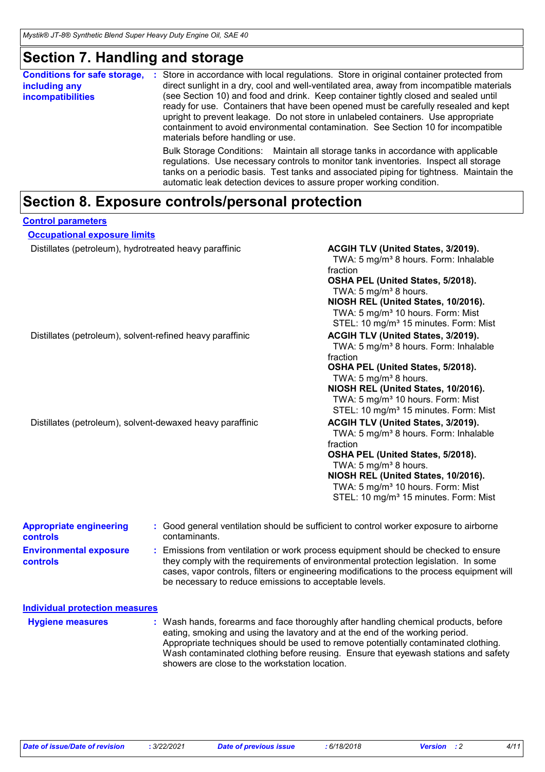### **Section 7. Handling and storage**

| <b>Conditions for safe storage,</b><br>including any<br><b>incompatibilities</b> | Store in accordance with local regulations. Store in original container protected from<br>direct sunlight in a dry, cool and well-ventilated area, away from incompatible materials<br>(see Section 10) and food and drink. Keep container tightly closed and sealed until<br>ready for use. Containers that have been opened must be carefully resealed and kept<br>upright to prevent leakage. Do not store in unlabeled containers. Use appropriate<br>containment to avoid environmental contamination. See Section 10 for incompatible<br>materials before handling or use. |
|----------------------------------------------------------------------------------|----------------------------------------------------------------------------------------------------------------------------------------------------------------------------------------------------------------------------------------------------------------------------------------------------------------------------------------------------------------------------------------------------------------------------------------------------------------------------------------------------------------------------------------------------------------------------------|
|                                                                                  | Bulk Storage Conditions: Maintain all storage tanks in accordance with applicable<br>regulations. Use necessary controls to monitor tank inventories. Inspect all storage<br>tanks on a periodic basis. Test tanks and associated piping for tightness. Maintain the<br>automatic leak detection devices to assure proper working condition.                                                                                                                                                                                                                                     |

## **Section 8. Exposure controls/personal protection**

| <b>Control parameters</b>                                 |                                                        |                                                                                                                                                                                                                                                                                                                                               |
|-----------------------------------------------------------|--------------------------------------------------------|-----------------------------------------------------------------------------------------------------------------------------------------------------------------------------------------------------------------------------------------------------------------------------------------------------------------------------------------------|
| <b>Occupational exposure limits</b>                       |                                                        |                                                                                                                                                                                                                                                                                                                                               |
| Distillates (petroleum), hydrotreated heavy paraffinic    |                                                        | ACGIH TLV (United States, 3/2019).<br>TWA: 5 mg/m <sup>3</sup> 8 hours. Form: Inhalable<br>fraction<br>OSHA PEL (United States, 5/2018).<br>TWA: 5 mg/m <sup>3</sup> 8 hours.<br>NIOSH REL (United States, 10/2016).<br>TWA: 5 mg/m <sup>3</sup> 10 hours. Form: Mist<br>STEL: 10 mg/m <sup>3</sup> 15 minutes. Form: Mist                    |
| Distillates (petroleum), solvent-refined heavy paraffinic |                                                        | ACGIH TLV (United States, 3/2019).<br>TWA: 5 mg/m <sup>3</sup> 8 hours. Form: Inhalable<br>fraction<br>OSHA PEL (United States, 5/2018).<br>TWA: 5 mg/m <sup>3</sup> 8 hours.<br>NIOSH REL (United States, 10/2016).<br>TWA: 5 mg/m <sup>3</sup> 10 hours. Form: Mist<br>STEL: 10 mg/m <sup>3</sup> 15 minutes. Form: Mist                    |
| Distillates (petroleum), solvent-dewaxed heavy paraffinic |                                                        | ACGIH TLV (United States, 3/2019).<br>TWA: 5 mg/m <sup>3</sup> 8 hours. Form: Inhalable<br>fraction<br>OSHA PEL (United States, 5/2018).<br>TWA: 5 mg/m <sup>3</sup> 8 hours.<br>NIOSH REL (United States, 10/2016).<br>TWA: 5 mg/m <sup>3</sup> 10 hours. Form: Mist<br>STEL: 10 mg/m <sup>3</sup> 15 minutes. Form: Mist                    |
| <b>Appropriate engineering</b><br><b>controls</b>         | contaminants.                                          | : Good general ventilation should be sufficient to control worker exposure to airborne                                                                                                                                                                                                                                                        |
| <b>Environmental exposure</b><br>controls                 | be necessary to reduce emissions to acceptable levels. | : Emissions from ventilation or work process equipment should be checked to ensure<br>they comply with the requirements of environmental protection legislation. In some<br>cases, vapor controls, filters or engineering modifications to the process equipment will                                                                         |
| <b>Individual protection measures</b>                     |                                                        |                                                                                                                                                                                                                                                                                                                                               |
| <b>Hygiene measures</b>                                   | showers are close to the workstation location.         | Wash hands, forearms and face thoroughly after handling chemical products, before<br>eating, smoking and using the lavatory and at the end of the working period.<br>Appropriate techniques should be used to remove potentially contaminated clothing.<br>Wash contaminated clothing before reusing. Ensure that eyewash stations and safety |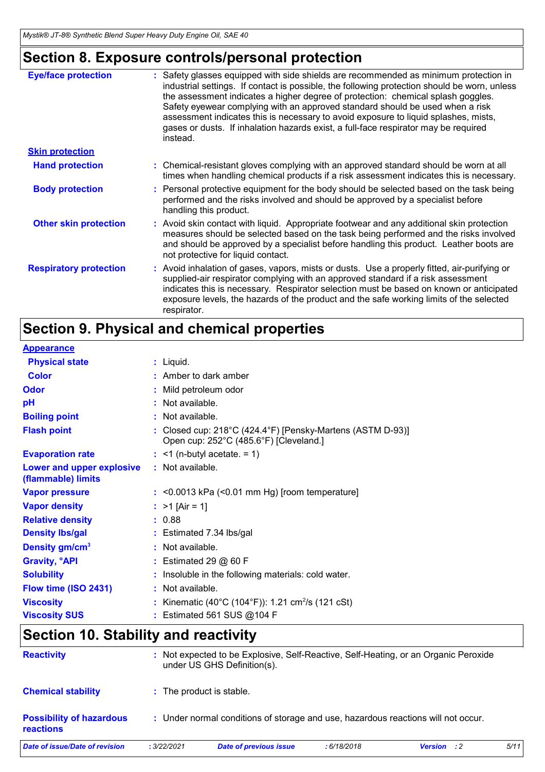### **Section 8. Exposure controls/personal protection**

| <b>Eye/face protection</b>    | : Safety glasses equipped with side shields are recommended as minimum protection in<br>industrial settings. If contact is possible, the following protection should be worn, unless<br>the assessment indicates a higher degree of protection: chemical splash goggles.<br>Safety eyewear complying with an approved standard should be used when a risk<br>assessment indicates this is necessary to avoid exposure to liquid splashes, mists,<br>gases or dusts. If inhalation hazards exist, a full-face respirator may be required<br>instead. |
|-------------------------------|-----------------------------------------------------------------------------------------------------------------------------------------------------------------------------------------------------------------------------------------------------------------------------------------------------------------------------------------------------------------------------------------------------------------------------------------------------------------------------------------------------------------------------------------------------|
| <b>Skin protection</b>        |                                                                                                                                                                                                                                                                                                                                                                                                                                                                                                                                                     |
| <b>Hand protection</b>        | : Chemical-resistant gloves complying with an approved standard should be worn at all<br>times when handling chemical products if a risk assessment indicates this is necessary.                                                                                                                                                                                                                                                                                                                                                                    |
| <b>Body protection</b>        | : Personal protective equipment for the body should be selected based on the task being<br>performed and the risks involved and should be approved by a specialist before<br>handling this product.                                                                                                                                                                                                                                                                                                                                                 |
| <b>Other skin protection</b>  | : Avoid skin contact with liquid. Appropriate footwear and any additional skin protection<br>measures should be selected based on the task being performed and the risks involved<br>and should be approved by a specialist before handling this product. Leather boots are<br>not protective for liquid contact.                                                                                                                                                                                                                                   |
| <b>Respiratory protection</b> | : Avoid inhalation of gases, vapors, mists or dusts. Use a properly fitted, air-purifying or<br>supplied-air respirator complying with an approved standard if a risk assessment<br>indicates this is necessary. Respirator selection must be based on known or anticipated<br>exposure levels, the hazards of the product and the safe working limits of the selected<br>respirator.                                                                                                                                                               |

### **Section 9. Physical and chemical properties**

| <b>Appearance</b>                               |                                                                                                    |
|-------------------------------------------------|----------------------------------------------------------------------------------------------------|
| <b>Physical state</b>                           | $:$ Liquid.                                                                                        |
| Color                                           | $:$ Amber to dark amber                                                                            |
| Odor                                            | Mild petroleum odor                                                                                |
| pH                                              | : Not available.                                                                                   |
| <b>Boiling point</b>                            | $:$ Not available.                                                                                 |
| <b>Flash point</b>                              | Closed cup: 218°C (424.4°F) [Pensky-Martens (ASTM D-93)]<br>Open cup: 252°C (485.6°F) [Cleveland.] |
| <b>Evaporation rate</b>                         | $:$ <1 (n-butyl acetate. = 1)                                                                      |
| Lower and upper explosive<br>(flammable) limits | : Not available.                                                                                   |
| <b>Vapor pressure</b>                           | $:$ <0.0013 kPa (<0.01 mm Hg) [room temperature]                                                   |
| <b>Vapor density</b>                            | : $>1$ [Air = 1]                                                                                   |
| <b>Relative density</b>                         | : 0.88                                                                                             |
| <b>Density Ibs/gal</b>                          | $:$ Estimated 7.34 lbs/gal                                                                         |
| Density gm/cm <sup>3</sup>                      | : Not available.                                                                                   |
| <b>Gravity, <sup>o</sup>API</b>                 | $:$ Estimated 29 $@$ 60 F                                                                          |
| <b>Solubility</b>                               | Insoluble in the following materials: cold water.                                                  |
| Flow time (ISO 2431)                            | : Not available.                                                                                   |
| <b>Viscosity</b>                                | Kinematic (40°C (104°F)): 1.21 cm <sup>2</sup> /s (121 cSt)                                        |
| <b>Viscosity SUS</b>                            | Estimated 561 SUS @104 F                                                                           |

### **Section 10. Stability and reactivity**

| <b>Reactivity</b>                                   |             | : Not expected to be Explosive, Self-Reactive, Self-Heating, or an Organic Peroxide<br>under US GHS Definition(s). |             |                    |      |
|-----------------------------------------------------|-------------|--------------------------------------------------------------------------------------------------------------------|-------------|--------------------|------|
| <b>Chemical stability</b>                           |             | : The product is stable.                                                                                           |             |                    |      |
| <b>Possibility of hazardous</b><br><b>reactions</b> |             | : Under normal conditions of storage and use, hazardous reactions will not occur.                                  |             |                    |      |
| Date of issue/Date of revision                      | : 3/22/2021 | <b>Date of previous issue</b>                                                                                      | : 6/18/2018 | <b>Version</b> : 2 | 5/11 |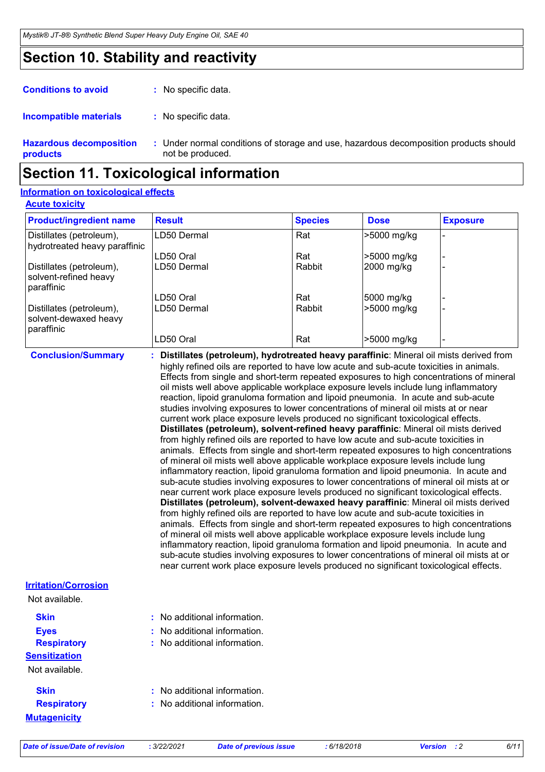### **Section 10. Stability and reactivity**

| <b>Conditions to avoid</b>     | : No specific data.      |
|--------------------------------|--------------------------|
| <b>Incompatible materials</b>  | : No specific data.      |
| <b>Hazardous decomposition</b> | : Under normal condition |

**Hazardous decomposition products** ditions of storage and use, hazardous decomposition products should not be produced. **:**

### **Section 11. Toxicological information**

#### **Acute toxicity Information on toxicological effects**

| <b>Product/ingredient name</b>                                  | <b>Result</b> | <b>Species</b> | <b>Dose</b> | <b>Exposure</b> |
|-----------------------------------------------------------------|---------------|----------------|-------------|-----------------|
| Distillates (petroleum),<br>hydrotreated heavy paraffinic       | LD50 Dermal   | Rat            | >5000 mg/kg |                 |
|                                                                 | ILD50 Oral    | Rat            | >5000 mg/kg |                 |
| Distillates (petroleum),<br>solvent-refined heavy<br>paraffinic | ILD50 Dermal  | Rabbit         | 2000 mg/kg  |                 |
|                                                                 | LD50 Oral     | Rat            | 5000 mg/kg  |                 |
| Distillates (petroleum),<br>solvent-dewaxed heavy<br>paraffinic | ILD50 Dermal  | Rabbit         | >5000 mg/kg |                 |
|                                                                 | LD50 Oral     | Rat            | >5000 mg/kg |                 |

**Conclusion/Summary : Distillates (petroleum), hydrotreated heavy paraffinic**: Mineral oil mists derived from highly refined oils are reported to have low acute and sub-acute toxicities in animals. Effects from single and short-term repeated exposures to high concentrations of mineral oil mists well above applicable workplace exposure levels include lung inflammatory reaction, lipoid granuloma formation and lipoid pneumonia. In acute and sub-acute studies involving exposures to lower concentrations of mineral oil mists at or near current work place exposure levels produced no significant toxicological effects. **Distillates (petroleum), solvent-refined heavy paraffinic**: Mineral oil mists derived from highly refined oils are reported to have low acute and sub-acute toxicities in animals. Effects from single and short-term repeated exposures to high concentrations of mineral oil mists well above applicable workplace exposure levels include lung inflammatory reaction, lipoid granuloma formation and lipoid pneumonia. In acute and sub-acute studies involving exposures to lower concentrations of mineral oil mists at or near current work place exposure levels produced no significant toxicological effects. **Distillates (petroleum), solvent-dewaxed heavy paraffinic**: Mineral oil mists derived from highly refined oils are reported to have low acute and sub-acute toxicities in animals. Effects from single and short-term repeated exposures to high concentrations of mineral oil mists well above applicable workplace exposure levels include lung inflammatory reaction, lipoid granuloma formation and lipoid pneumonia. In acute and sub-acute studies involving exposures to lower concentrations of mineral oil mists at or near current work place exposure levels produced no significant toxicological effects.

| <b>Irritation/Corrosion</b> |                                         |  |
|-----------------------------|-----------------------------------------|--|
| Not available.              |                                         |  |
| <b>Skin</b>                 | : No additional information.            |  |
| <b>Eyes</b>                 | $\therefore$ No additional information. |  |
| <b>Respiratory</b>          | $\therefore$ No additional information. |  |
| <b>Sensitization</b>        |                                         |  |
| Not available.              |                                         |  |
| <b>Skin</b>                 | $\therefore$ No additional information. |  |
| <b>Respiratory</b>          | $\therefore$ No additional information. |  |
| <b>Mutagenicity</b>         |                                         |  |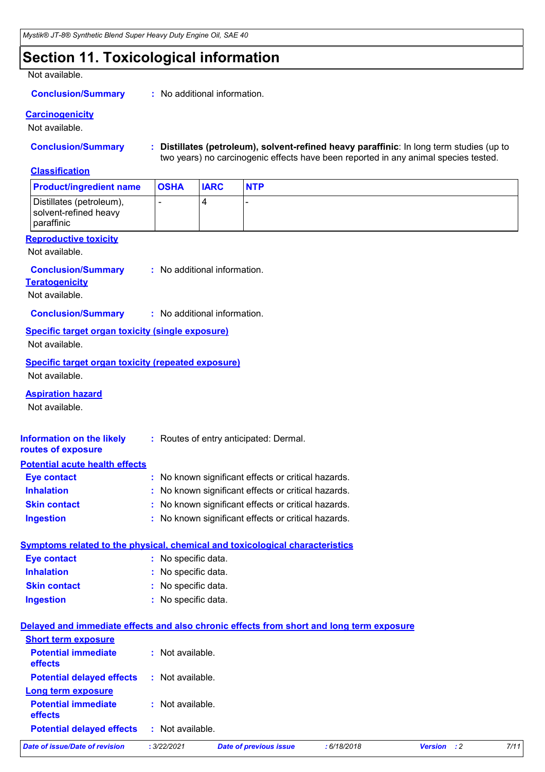### **Section 11. Toxicological information**

#### Not available.

#### **Conclusion/Summary :** No additional information.

#### **Carcinogenicity**

Not available.

**Conclusion/Summary : Distillates (petroleum), solvent-refined heavy paraffinic**: In long term studies (up to two years) no carcinogenic effects have been reported in any animal species tested.

#### **Classification**

| <b>Product/ingredient name</b>                                                           | <b>OSHA</b>                  | <b>IARC</b> | <b>NTP</b>                                          |             |             |      |
|------------------------------------------------------------------------------------------|------------------------------|-------------|-----------------------------------------------------|-------------|-------------|------|
| Distillates (petroleum),<br>solvent-refined heavy<br>paraffinic                          | -                            | 4           |                                                     |             |             |      |
| <b>Reproductive toxicity</b>                                                             |                              |             |                                                     |             |             |      |
| Not available.                                                                           |                              |             |                                                     |             |             |      |
| <b>Conclusion/Summary</b><br><b>Teratogenicity</b><br>Not available.                     | : No additional information. |             |                                                     |             |             |      |
| <b>Conclusion/Summary</b>                                                                | : No additional information. |             |                                                     |             |             |      |
| Specific target organ toxicity (single exposure)<br>Not available.                       |                              |             |                                                     |             |             |      |
| <b>Specific target organ toxicity (repeated exposure)</b><br>Not available.              |                              |             |                                                     |             |             |      |
| <b>Aspiration hazard</b><br>Not available.                                               |                              |             |                                                     |             |             |      |
| <b>Information on the likely</b><br>routes of exposure                                   |                              |             | : Routes of entry anticipated: Dermal.              |             |             |      |
| <b>Potential acute health effects</b>                                                    |                              |             |                                                     |             |             |      |
| <b>Eye contact</b>                                                                       |                              |             | : No known significant effects or critical hazards. |             |             |      |
| <b>Inhalation</b>                                                                        |                              |             | : No known significant effects or critical hazards. |             |             |      |
| <b>Skin contact</b>                                                                      |                              |             | No known significant effects or critical hazards.   |             |             |      |
| <b>Ingestion</b>                                                                         |                              |             | : No known significant effects or critical hazards. |             |             |      |
| Symptoms related to the physical, chemical and toxicological characteristics             |                              |             |                                                     |             |             |      |
| <b>Eye contact</b>                                                                       | : No specific data.          |             |                                                     |             |             |      |
| <b>Inhalation</b>                                                                        | : No specific data.          |             |                                                     |             |             |      |
| <b>Skin contact</b>                                                                      | : No specific data.          |             |                                                     |             |             |      |
| <b>Ingestion</b>                                                                         | : No specific data.          |             |                                                     |             |             |      |
| Delayed and immediate effects and also chronic effects from short and long term exposure |                              |             |                                                     |             |             |      |
| <b>Short term exposure</b>                                                               |                              |             |                                                     |             |             |      |
| <b>Potential immediate</b><br>effects                                                    | : Not available.             |             |                                                     |             |             |      |
| <b>Potential delayed effects</b>                                                         | : Not available.             |             |                                                     |             |             |      |
| Long term exposure<br><b>Potential immediate</b><br>effects                              | : Not available.             |             |                                                     |             |             |      |
| <b>Potential delayed effects</b>                                                         | : Not available.             |             |                                                     |             |             |      |
| <b>Date of issue/Date of revision</b>                                                    | : 3/22/2021                  |             | <b>Date of previous issue</b>                       | : 6/18/2018 | Version : 2 | 7/11 |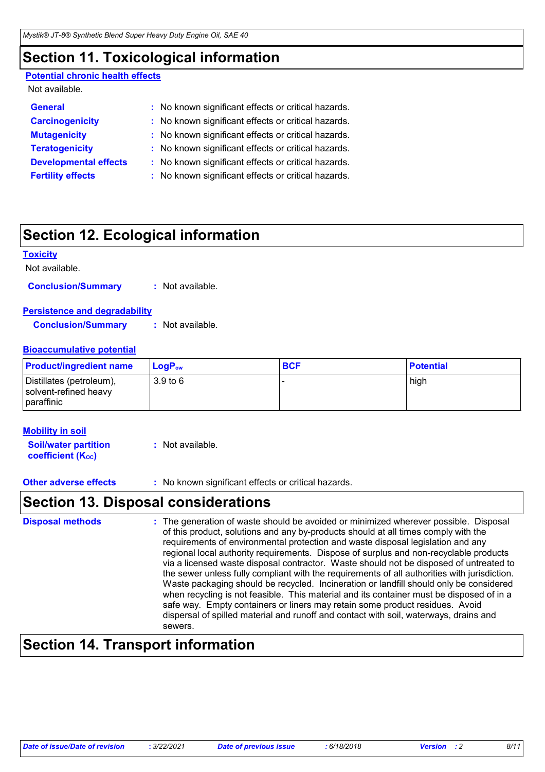### **Section 11. Toxicological information**

#### **Potential chronic health effects**

| Not available.               |                                                     |
|------------------------------|-----------------------------------------------------|
| <b>General</b>               | : No known significant effects or critical hazards. |
| <b>Carcinogenicity</b>       | : No known significant effects or critical hazards. |
| <b>Mutagenicity</b>          | : No known significant effects or critical hazards. |
| <b>Teratogenicity</b>        | : No known significant effects or critical hazards. |
| <b>Developmental effects</b> | : No known significant effects or critical hazards. |
| <b>Fertility effects</b>     | : No known significant effects or critical hazards. |
|                              |                                                     |

### **Section 12. Ecological information**

#### **Toxicity**

Not available.

**Conclusion/Summary :** Not available.

#### **Persistence and degradability**

**Conclusion/Summary :** Not available.

#### **Bioaccumulative potential**

| <b>Product/ingredient name</b>                                  | $\mathsf{LogP}_\mathsf{ow}$ | <b>BCF</b> | <b>Potential</b> |
|-----------------------------------------------------------------|-----------------------------|------------|------------------|
| Distillates (petroleum),<br>solvent-refined heavy<br>paraffinic | $3.9$ to 6                  |            | high             |

#### **Mobility in soil**

**Soil/water partition coefficient (KOC) :** Not available.

**Other adverse effects** : No known significant effects or critical hazards.

### **Section 13. Disposal considerations**

The generation of waste should be avoided or minimized wherever possible. Disposal of this product, solutions and any by-products should at all times comply with the requirements of environmental protection and waste disposal legislation and any regional local authority requirements. Dispose of surplus and non-recyclable products via a licensed waste disposal contractor. Waste should not be disposed of untreated to the sewer unless fully compliant with the requirements of all authorities with jurisdiction. Waste packaging should be recycled. Incineration or landfill should only be considered when recycling is not feasible. This material and its container must be disposed of in a safe way. Empty containers or liners may retain some product residues. Avoid dispersal of spilled material and runoff and contact with soil, waterways, drains and sewers. **Disposal methods :**

### **Section 14. Transport information**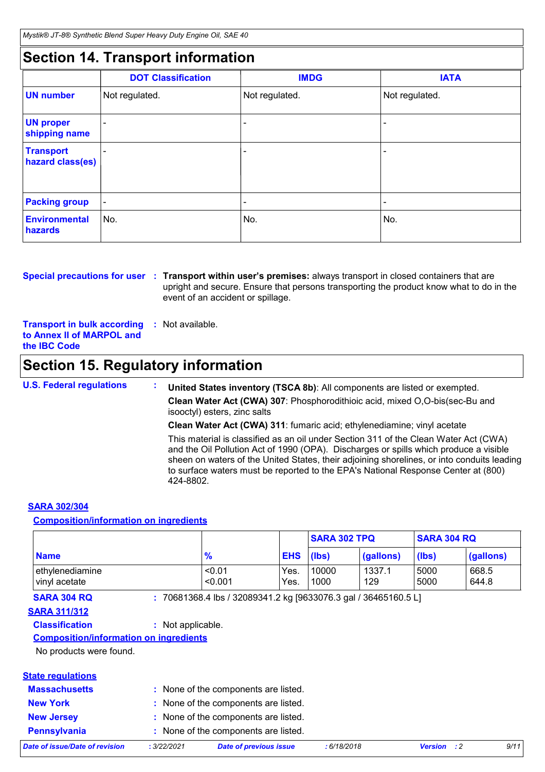### **Section 14. Transport information**

|                                      | <b>DOT Classification</b> | <b>IMDG</b>    | <b>IATA</b>              |
|--------------------------------------|---------------------------|----------------|--------------------------|
| <b>UN number</b>                     | Not regulated.            | Not regulated. | Not regulated.           |
| <b>UN proper</b><br>shipping name    |                           |                | -                        |
| <b>Transport</b><br>hazard class(es) |                           |                | -                        |
| <b>Packing group</b>                 | $\overline{\phantom{a}}$  |                | $\overline{\phantom{a}}$ |
| <b>Environmental</b><br>hazards      | No.                       | No.            | No.                      |

**Special precautions for user** : Transport within user's premises: always transport in closed containers that are upright and secure. Ensure that persons transporting the product know what to do in the event of an accident or spillage.

**Transport in bulk according :** Not available. **to Annex II of MARPOL and the IBC Code**

### **Section 15. Regulatory information**

**U.S. Federal regulations : United States inventory (TSCA 8b)**: All components are listed or exempted. **Clean Water Act (CWA) 307**: Phosphorodithioic acid, mixed O,O-bis(sec-Bu and isooctyl) esters, zinc salts **Clean Water Act (CWA) 311**: fumaric acid; ethylenediamine; vinyl acetate

This material is classified as an oil under Section 311 of the Clean Water Act (CWA) and the Oil Pollution Act of 1990 (OPA). Discharges or spills which produce a visible sheen on waters of the United States, their adjoining shorelines, or into conduits leading to surface waters must be reported to the EPA's National Response Center at (800) 424-8802.

#### **SARA 302/304**

#### **Composition/information on ingredients**

|                                  |                   |              | <b>SARA 302 TPQ</b> |               | <b>SARA 304 RQ</b> |                |
|----------------------------------|-------------------|--------------|---------------------|---------------|--------------------|----------------|
| <b>Name</b>                      | $\frac{9}{6}$     | <b>EHS</b>   | (lbs)               | (gallons)     | (lbs)              | (gallons)      |
| ethylenediamine<br>vinyl acetate | < 0.01<br>< 0.001 | Yes.<br>Yes. | 10000<br>1000       | 1337.1<br>129 | 5000<br>5000       | 668.5<br>644.8 |

**SARA 304 RQ :** 70681368.4 lbs / 32089341.2 kg [9633076.3 gal / 36465160.5 L]

#### **SARA 311/312**

#### **Classification :** Not applicable.

**Composition/information on ingredients**

No products were found.

#### **State regulations**

| : None of the components are listed. |  |  |  |  |  |  |
|--------------------------------------|--|--|--|--|--|--|
|                                      |  |  |  |  |  |  |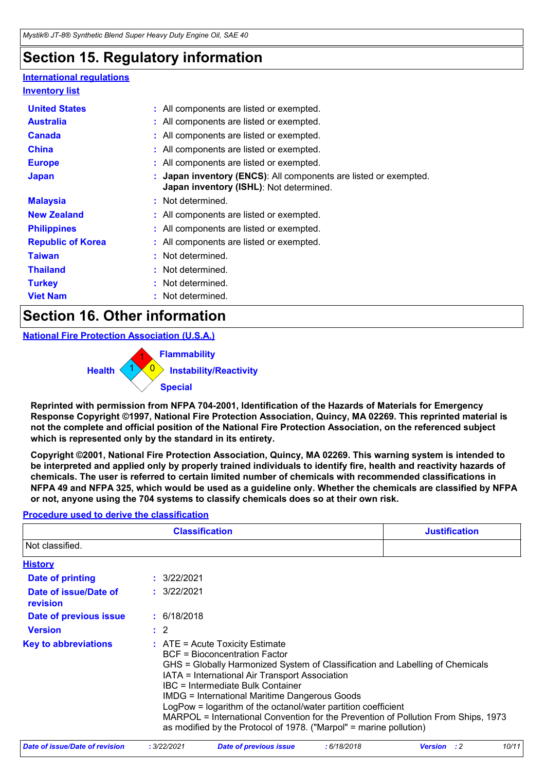### **Section 15. Regulatory information**

### **International regulations**

| <b>Inventory list</b>    |                                                                                                           |
|--------------------------|-----------------------------------------------------------------------------------------------------------|
| <b>United States</b>     | : All components are listed or exempted.                                                                  |
| <b>Australia</b>         | : All components are listed or exempted.                                                                  |
| <b>Canada</b>            | : All components are listed or exempted.                                                                  |
| <b>China</b>             | : All components are listed or exempted.                                                                  |
| <b>Europe</b>            | : All components are listed or exempted.                                                                  |
| <b>Japan</b>             | Japan inventory (ENCS): All components are listed or exempted.<br>Japan inventory (ISHL): Not determined. |
| <b>Malaysia</b>          | : Not determined.                                                                                         |
| <b>New Zealand</b>       | : All components are listed or exempted.                                                                  |
| <b>Philippines</b>       | : All components are listed or exempted.                                                                  |
| <b>Republic of Korea</b> | : All components are listed or exempted.                                                                  |
| <b>Taiwan</b>            | : Not determined.                                                                                         |
| <b>Thailand</b>          | : Not determined.                                                                                         |
| <b>Turkey</b>            | : Not determined.                                                                                         |
| <b>Viet Nam</b>          | Not determined.                                                                                           |

### **Section 16. Other information**

**National Fire Protection Association (U.S.A.)**



**Reprinted with permission from NFPA 704-2001, Identification of the Hazards of Materials for Emergency Response Copyright ©1997, National Fire Protection Association, Quincy, MA 02269. This reprinted material is not the complete and official position of the National Fire Protection Association, on the referenced subject which is represented only by the standard in its entirety.**

**Copyright ©2001, National Fire Protection Association, Quincy, MA 02269. This warning system is intended to be interpreted and applied only by properly trained individuals to identify fire, health and reactivity hazards of chemicals. The user is referred to certain limited number of chemicals with recommended classifications in NFPA 49 and NFPA 325, which would be used as a guideline only. Whether the chemicals are classified by NFPA or not, anyone using the 704 systems to classify chemicals does so at their own risk.**

### **Procedure used to derive the classification**

| <b>Classification</b>             |                | <b>Justification</b>                                                                                                                                                                                                                                                                                                                                                                                                                                                                                                                                   |  |
|-----------------------------------|----------------|--------------------------------------------------------------------------------------------------------------------------------------------------------------------------------------------------------------------------------------------------------------------------------------------------------------------------------------------------------------------------------------------------------------------------------------------------------------------------------------------------------------------------------------------------------|--|
| Not classified.                   |                |                                                                                                                                                                                                                                                                                                                                                                                                                                                                                                                                                        |  |
| <b>History</b>                    |                |                                                                                                                                                                                                                                                                                                                                                                                                                                                                                                                                                        |  |
| <b>Date of printing</b>           | : 3/22/2021    |                                                                                                                                                                                                                                                                                                                                                                                                                                                                                                                                                        |  |
| Date of issue/Date of<br>revision | : 3/22/2021    |                                                                                                                                                                                                                                                                                                                                                                                                                                                                                                                                                        |  |
| Date of previous issue            | : 6/18/2018    |                                                                                                                                                                                                                                                                                                                                                                                                                                                                                                                                                        |  |
| <b>Version</b>                    | $\therefore$ 2 |                                                                                                                                                                                                                                                                                                                                                                                                                                                                                                                                                        |  |
| <b>Key to abbreviations</b>       |                | $\therefore$ ATE = Acute Toxicity Estimate<br><b>BCF</b> = Bioconcentration Factor<br>GHS = Globally Harmonized System of Classification and Labelling of Chemicals<br>IATA = International Air Transport Association<br><b>IBC</b> = Intermediate Bulk Container<br><b>IMDG = International Maritime Dangerous Goods</b><br>LogPow = logarithm of the octanol/water partition coefficient<br>MARPOL = International Convention for the Prevention of Pollution From Ships, 1973<br>as modified by the Protocol of 1978. ("Marpol" = marine pollution) |  |

| Date of issue/Date of revision | .3/22/2021 | Date of previous issue | : 6/18/2018 | <b>Version</b> : 2 | 10/11 |
|--------------------------------|------------|------------------------|-------------|--------------------|-------|
|                                |            |                        |             |                    |       |